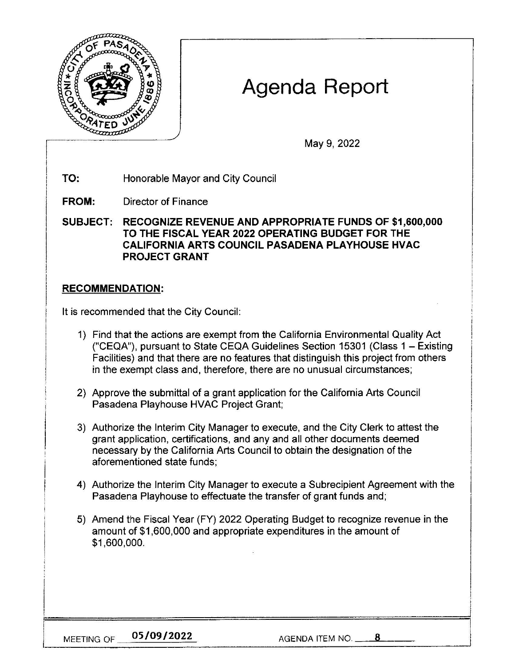

# Agenda Report

May 9, 2022

**TO:** Honorable Mayor and City Council

**FROM:** Director of Finance

**SUBJECT: RECOGNIZE REVENUE AND APPROPRIATE FUNDS OF \$1,600,000 TO THE FISCAL YEAR 2022 OPERATING BUDGET FOR THE CALIFORNIA ARTS COUNCIL PASADENA PLAYHOUSE HVAC PROJECT GRANT** 

# **RECOMMENDATION:**

It is recommended that the City Council:

- 1) Find that the actions are exempt from the California Environmental Quality Act ("CEQA"), pursuant to State CEQA Guidelines Section 15301 (Class 1 - Existing Facilities) and that there are no features that distinguish this project from others in the exempt class and, therefore, there are no unusual circumstances;
- 2) Approve the submittal of a grant application for the California Arts Council Pasadena Playhouse HVAC Project Grant;
- 3) Authorize the Interim City Manager to execute, and the City Clerk to attest the grant application, certifications, and any and all other documents deemed necessary by the California Arts Council to obtain the designation of the aforementioned state funds;
- 4) Authorize the Interim City Manager to execute a Subrecipient Agreement with the Pasadena Playhouse to effectuate the transfer of grant funds and;
- 5) Amend the Fiscal Year (FY) 2022 Operating Budget to recognize revenue in the amount of \$1,600,000 and appropriate expenditures in the amount of \$1,600,000.

MEETING OF **05/09/2022** AGENDA ITEM NO. **\_ \_\_..\_8 \_ \_ \_**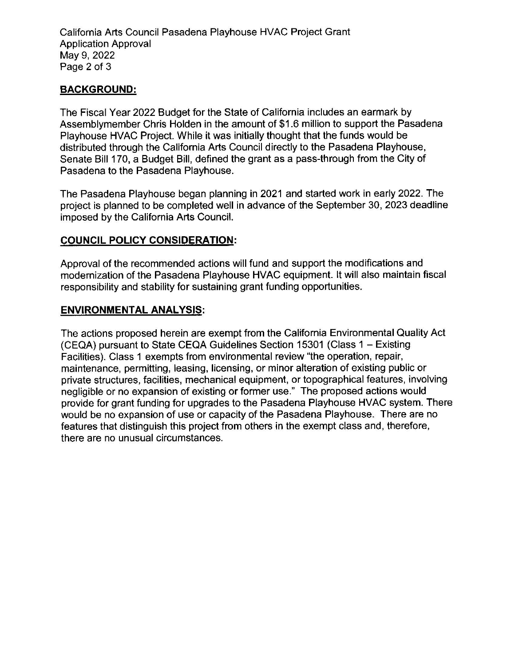California Arts Council Pasadena Playhouse HVAC Project Grant Application Approval May 9, 2022 Page 2 of 3

## **BACKGROUND:**

The Fiscal Year 2022 Budget for the State of California includes an earmark by Assemblymember Chris Holden in the amount of \$1.6 million to support the Pasadena Playhouse HVAC Project. While it was initially thought that the funds would be distributed through the California Arts Council directly to the Pasadena Playhouse, Senate Bill 170, a Budget Bill, defined the grant as a pass-through from the City of Pasadena to the Pasadena Playhouse.

The Pasadena Playhouse began planning in 2021 and started work in early 2022. The project is planned to be completed well in advance of the September 30, 2023 deadline imposed by the California Arts Council.

#### **COUNCIL POLICY CONSIDERATION:**

Approval of the recommended actions will fund and support the modifications and modernization of the Pasadena Playhouse HVAC equipment. It will also maintain fiscal responsibility and stability for sustaining grant funding opportunities.

#### **ENVIRONMENTAL ANALYSIS:**

The actions proposed herein are exempt from the California Environmental Quality Act (CEQA) pursuant to State CEQA Guidelines Section 15301 (Class 1 - Existing Facilities). Class 1 exempts from environmental review "the operation, repair, maintenance, permitting, leasing, licensing, or minor alteration of existing public or private structures, facilities, mechanical equipment, or topographical features, involving negligible or no expansion of existing or former use." The proposed actions would provide for grant funding for upgrades to the Pasadena Playhouse HVAC system. There would be no expansion of use or capacity of the Pasadena Playhouse. There are no features that distinguish this project from others in the exempt class and, therefore, there are no unusual circumstances.